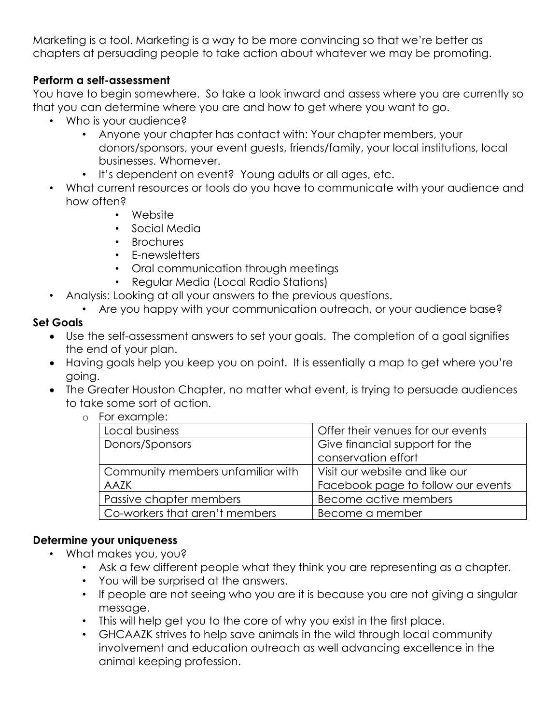Marketing is a tool. Marketing is a way to be more convincing so that we're better as chapters at persuading people to take action about whatever we may be promoting.

### **Perform a self-assessment**

You have to begin somewhere. So take a look inward and assess where you are currently so that you can determine where you are and how to get where you want to go.

- Who is your audience?
	- Anyone your chapter has contact with: Your chapter members, your donors/sponsors, your event guests, friends/family, your local institutions, local businesses. Whomever.
	- It's dependent on event? Young adults or all ages, etc.
- What current resources or tools do you have to communicate with your audience and how often?
	- Website
	- Social Media
	- Brochures
	- E-newsletters
	- Oral communication through meetings
	- Regular Media (Local Radio Stations)
- Analysis: Looking at all your answers to the previous questions.
	- Are you happy with your communication outreach, or your audience base?

## **Set Goals**

- Use the self-assessment answers to set your goals. The completion of a goal signifies the end of your plan.
- Having goals help you keep you on point. It is essentially a map to get where you're going.
- The Greater Houston Chapter, no matter what event, is trying to persuade audiences to take some sort of action.
	- o For example:

| Local business                    | Offer their venues for our events  |
|-----------------------------------|------------------------------------|
| Donors/Sponsors                   | Give financial support for the     |
|                                   | conservation effort                |
| Community members unfamiliar with | Visit our website and like our     |
| <b>AAZK</b>                       | Facebook page to follow our events |
| Passive chapter members           | Become active members              |
| Co-workers that aren't members    | Become a member                    |

### **Determine your uniqueness**

- What makes you, you?
	- Ask a few different people what they think you are representing as a chapter.
	- You will be surprised at the answers.
	- If people are not seeing who you are it is because you are not giving a singular message.
	- This will help get you to the core of why you exist in the first place.
	- GHCAAZK strives to help save animals in the wild through local community involvement and education outreach as well advancing excellence in the animal keeping profession.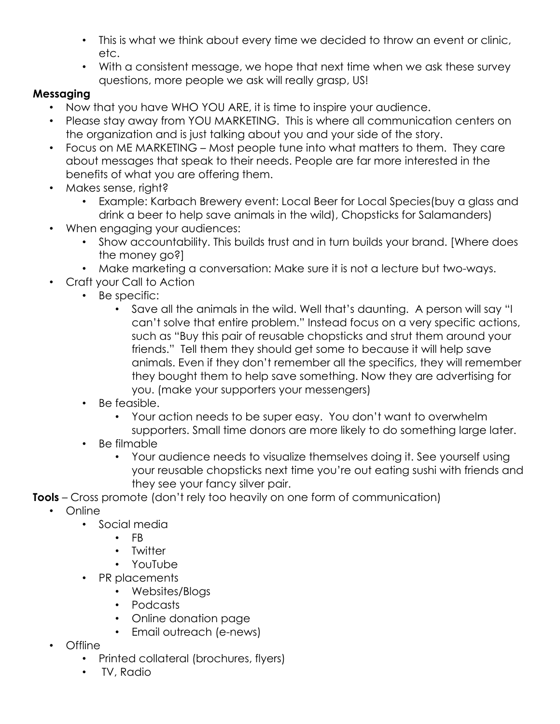- This is what we think about every time we decided to throw an event or clinic, etc.
- With a consistent message, we hope that next time when we ask these survey questions, more people we ask will really grasp, US!

# **Messaging**

- Now that you have WHO YOU ARE, it is time to inspire your audience.
- Please stay away from YOU MARKETING. This is where all communication centers on the organization and is just talking about you and your side of the story.
- Focus on ME MARKETING Most people tune into what matters to them. They care about messages that speak to their needs. People are far more interested in the benefits of what you are offering them.
- Makes sense, right?
	- Example: Karbach Brewery event: Local Beer for Local Species(buy a glass and drink a beer to help save animals in the wild), Chopsticks for Salamanders)
- When engaging your audiences:
	- Show accountability. This builds trust and in turn builds your brand. [Where does the money go?]
	- Make marketing a conversation: Make sure it is not a lecture but two-ways.
	- Craft your Call to Action
		- Be specific:
			- Save all the animals in the wild. Well that's daunting. A person will say "I can't solve that entire problem." Instead focus on a very specific actions, such as "Buy this pair of reusable chopsticks and strut them around your friends." Tell them they should get some to because it will help save animals. Even if they don't remember all the specifics, they will remember they bought them to help save something. Now they are advertising for you. (make your supporters your messengers)
		- Be feasible.
			- Your action needs to be super easy. You don't want to overwhelm supporters. Small time donors are more likely to do something large later.
		- Be filmable
			- Your audience needs to visualize themselves doing it. See yourself using your reusable chopsticks next time you're out eating sushi with friends and they see your fancy silver pair.
- **Tools** Cross promote (don't rely too heavily on one form of communication)
	- Online
		- Social media
			- FB
				- Twitter
				- YouTube
		- PR placements
			- Websites/Blogs
			- Podcasts
			- Online donation page
			- Email outreach (e-news)
	- Offline
		- Printed collateral (brochures, flyers)
		- TV, Radio